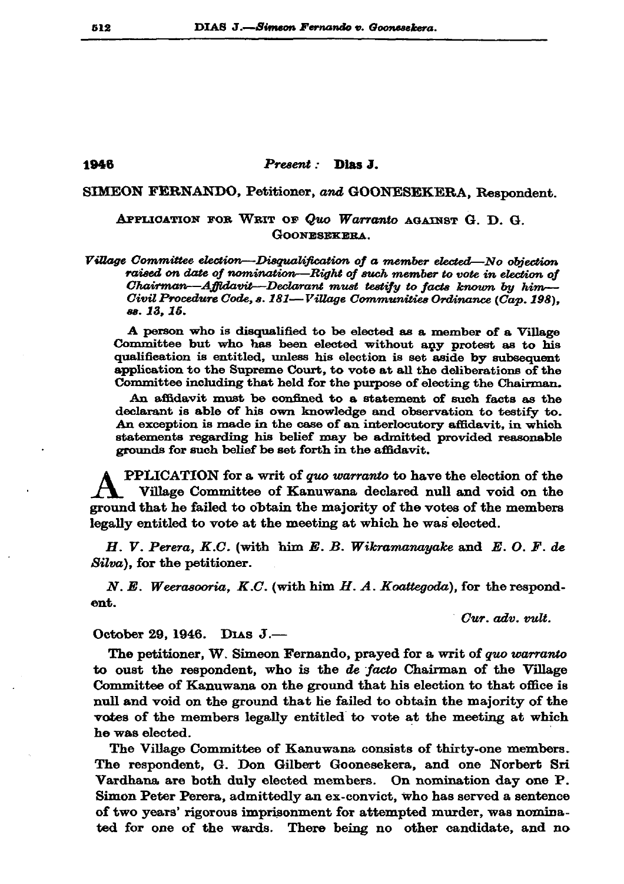## Present : Dias J.

## SIMEON FERNANDO, Petitioner, and GOONESEKERA, Respondent.

## APPLICATION FOR WRIT OF Quo Warranto AGAINST G. D. G. GOONESEKERA.

Village Committee election—Disqualification of a member elected—No objection raised on date of nomination-Right of such member to vote in election of Chairman—Affidavit—Declarant must testify to facts known by him— Civil Procedure Code, s. 181—Village Communities Ordinance (Cap. 198). 88. 13. 15.

A person who is disqualified to be elected as a member of a Village Committee but who has been elected without any protest as to his qualification is entitled, unless his election is set aside by subsequent application to the Supreme Court, to vote at all the deliberations of the Committee including that held for the purpose of electing the Chairman.

An affidavit must be confined to a statement of such facts as the declarant is able of his own knowledge and observation to testify to. An exception is made in the case of an interlocutory affidavit, in which statements regarding his belief may be admitted provided reasonable grounds for such belief be set forth in the affidavit.

**PPLICATION** for a writ of quo warranto to have the election of the Village Committee of Kanuwana declared null and void on the ground that he failed to obtain the majority of the votes of the members legally entitled to vote at the meeting at which he was elected.

H. V. Perera, K.C. (with him E. B. Wikramanayake and E. O. F. de Silva), for the petitioner.

N. E. Weerascoria, K.C. (with him  $H.$  A. Koattegoda), for the respondent.

Cur. adv. vult.

October 29, 1946. DIAS  $J -$ 

The petitioner, W. Simeon Fernando, prayed for a writ of quo warranto to oust the respondent, who is the de facto Chairman of the Village Committee of Kanuwana on the ground that his election to that office is null and void on the ground that he failed to obtain the majority of the votes of the members legally entitled to vote at the meeting at which he was elected.

The Village Committee of Kanuwana consists of thirty-one members. The respondent, G. Don Gilbert Goonesekera, and one Norbert Sri Vardhana are both duly elected members. On nomination day one P. Simon Peter Perera, admittedly an ex-convict, who has served a sentence of two years' rigorous imprisonment for attempted murder, was nominated for one of the wards. There being no other candidate, and no

## 1946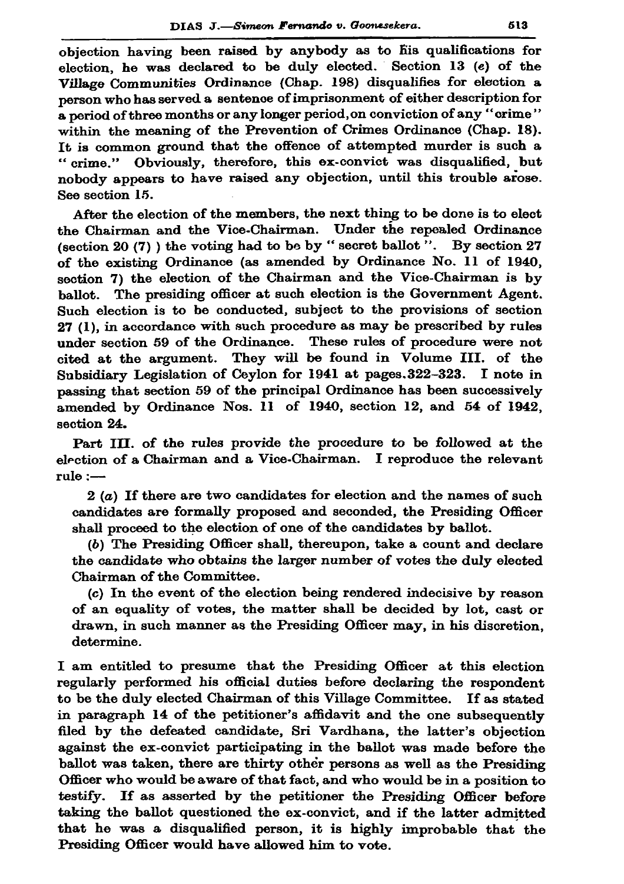objection having been raised by anybody as to fiis qualifications for election, he was declared to be duly elected. Section 13 (e) of the Village Communities Ordinance (Chap. 198) disqualifies for election a person who has served a sentence of imprisonment of either description for a period of three months or any longer period, on conviction of any "crime" within the meaning of the Prevention of Crimes Ordinance (Chap. 18). It is common ground that the offence of attempted murder is such a "crime." Obviously, therefore, this ex-convict was disqualified, but nobody appears to have raised any objection, until this trouble arose. See section 15.

After the election of the members, the next thing to be done is to elect the Chairman and the Vice-Chairman. Under the repealed Ordinance (section 20  $(7)$ ) the voting had to be by "secret ballot". By section 27 of the existing Ordinance (as amended by Ordinance No. 11 of 1940, section 7) the election of the Chairman and the Vice-Chairman is by ballot. The presiding officer at such election is the Government Agent. Such election is to be conducted, subject to the provisions of section 27 (1), in accordance with such procedure as may be prescribed by rules under section 59 of the Ordinance. These rules of procedure were not cited at the argument. They will be found in Volume III. of the Subsidiary Legislation of Ceylon for 1941 at pages. 322-323. I note in passing that section 59 of the principal Ordinance has been successively amended by Ordinance Nos. 11 of 1940, section 12, and 54 of 1942, section 24.

Part III. of the rules provide the procedure to be followed at the election of a Chairman and a Vice-Chairman. I reproduce the relevant rule :—

 $2(a)$  If there are two candidates for election and the names of such candidates are formally proposed and seconded, the Presiding Officer shall proceed to the election of one of the candidates by ballot.

(b) The Presiding Officer shall, thereupon, take a count and declare the candidate who obtains the larger number of votes the duly elected Chairman of the Committee.

(c) In the event of the election being rendered indecisive by reason of an equality of votes, the matter shall be decided by lot, cast or drawn, in such manner as the Presiding Officer may, in his discretion, determine.

I am entitled to presume that the Presiding Officer at this election regularly performed his official duties before declaring the respondent to be the duly elected Chairman of this Village Committee. If as stated in paragraph 14 of the petitioner's affidavit and the one subsequently filed by the defeated candidate, Sri Vardhana, the latter's objection against the ex-convict participating in the ballot was made before the ballot was taken, there are thirty other persons as well as the Presiding Officer who would be aware of that fact, and who would be in a position to testify. If as asserted by the petitioner the Presiding Officer before taking the ballot questioned the ex-convict, and if the latter admitted that he was a disqualified person, it is highly improbable that the Presiding Officer would have allowed him to vote.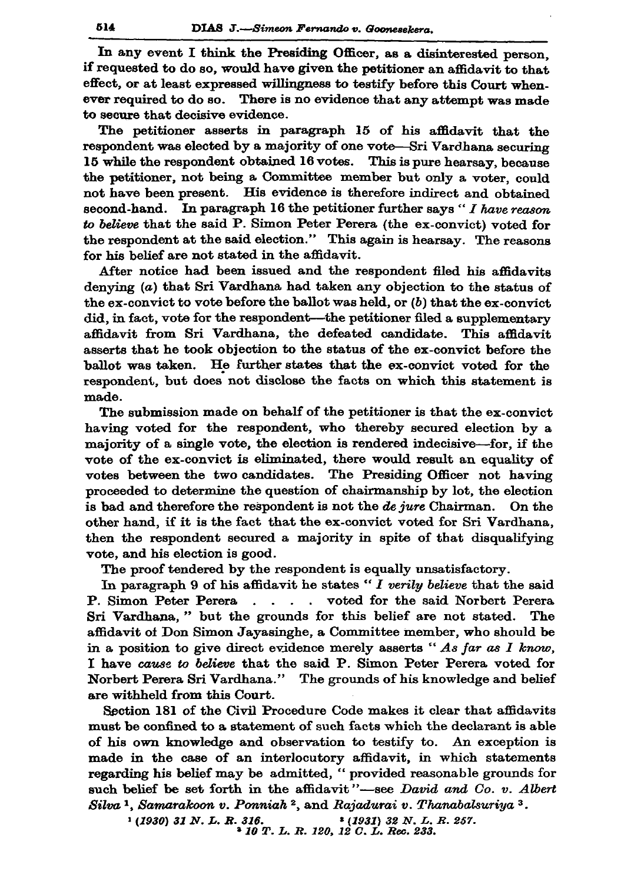In any event I think the Presiding Officer, as a disinterested person. if requested to do so, would have given the petitioner an affidavit to that. effect, or at least expressed willingness to testify before this Court whenever required to do so. There is no evidence that any attempt was made to secure that decisive evidence.

The petitioner asserts in paragraph 15 of his affidavit that the respondent was elected by a majority of one vote-Sri Vardhana securing 15 while the respondent obtained 16 votes. This is pure hearsay, because the petitioner, not being a Committee member but only a voter, could not have been present. His evidence is therefore indirect and obtained second-hand. In paragraph 16 the petitioner further says " $I$  have reason to believe that the said P. Simon Peter Perera (the ex-convict) voted for the respondent at the said election." This again is hearsay. The reasons for his belief are not stated in the affidavit.

After notice had been issued and the respondent filed his affidavits denying (a) that Sri Vardhana had taken any objection to the status of the ex-convict to vote before the ballot was held, or  $(b)$  that the ex-convict did, in fact, vote for the respondent—the petitioner filed a supplementary affidavit from Sri Vardhana, the defeated candidate. This affidavit asserts that he took objection to the status of the ex-convict before the ballot was taken. He further states that the ex-convict voted for the respondent, but does not disclose the facts on which this statement is made.

The submission made on behalf of the petitioner is that the ex-convict having voted for the respondent, who thereby secured election by a majority of a single vote, the election is rendered indecisive-for, if the vote of the ex-convict is eliminated, there would result an equality of votes between the two candidates. The Presiding Officer not having proceeded to determine the question of chairmanship by lot, the election is bad and therefore the respondent is not the *de jure* Chairman. On the other hand. if it is the fact that the ex-convict voted for Sri Vardhana, then the respondent secured a majority in spite of that disqualifying vote, and his election is good.

The proof tendered by the respondent is equally unsatisfactory.

In paragraph 9 of his affidavit he states " $I$  verily believe that the said P. Simon Peter Perera . . . . voted for the said Norbert Perera Sri Vardhana," but the grounds for this belief are not stated. The affidavit of Don Simon Jayasinghe, a Committee member, who should be in a position to give direct evidence merely asserts "As far as  $I$  know, I have cause to believe that the said P. Simon Peter Perera voted for Norbert Perera Sri Vardhana." The grounds of his knowledge and belief are withheld from this Court.

Section 181 of the Civil Procedure Code makes it clear that affidavits must be confined to a statement of such facts which the declarant is able of his own knowledge and observation to testify to. An exception is made in the case of an interlocutory affidavit, in which statements regarding his belief may be admitted, "provided reasonable grounds for such belief be set forth in the affidavit"-see David and Co. v. Albert Silva<sup>1</sup>, Samarakoon v. Ponniah<sup>2</sup>, and Rajadurai v. Thanabalsuriya<sup>3</sup>.

\* (1931) 32 N. L. R. 257.